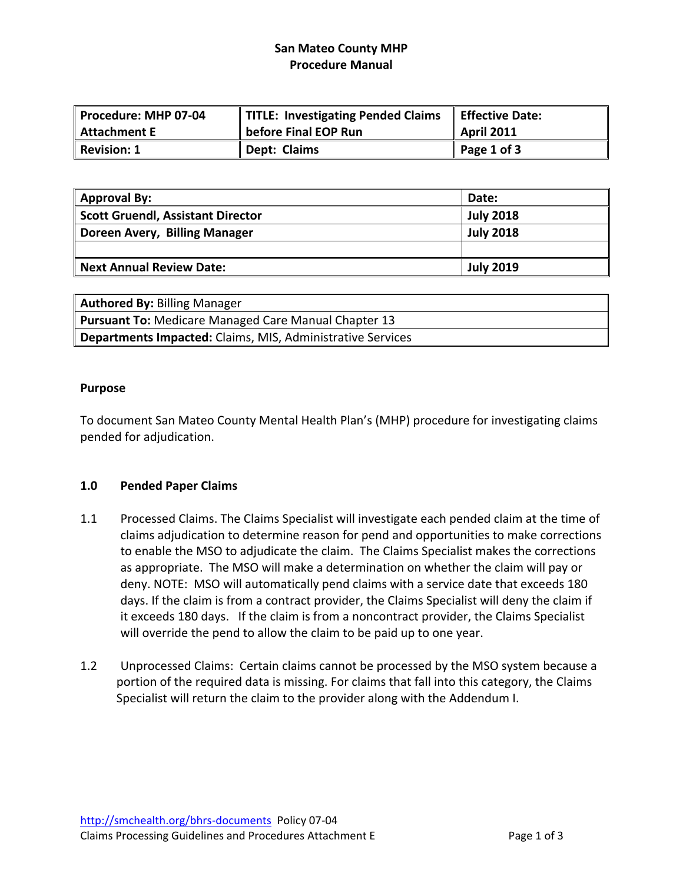# **San Mateo County MHP Procedure Manual**

| Procedure: MHP 07-04 | TITLE: Investigating Pended Claims | Effective Date:   |
|----------------------|------------------------------------|-------------------|
| Attachment E         | before Final EOP Run               | <b>April 2011</b> |
| Revision: 1          | Dept: Claims                       | Page 1 of 3       |

| Approval By:                      | Date:            |
|-----------------------------------|------------------|
| Scott Gruendl, Assistant Director | <b>July 2018</b> |
| Doreen Avery, Billing Manager     | <b>July 2018</b> |
|                                   |                  |
| Next Annual Review Date:          | <b>July 2019</b> |

| <b>Authored By: Billing Manager</b>                               |
|-------------------------------------------------------------------|
| <b>Pursuant To: Medicare Managed Care Manual Chapter 13</b>       |
| <b>Departments Impacted: Claims, MIS, Administrative Services</b> |

#### **Purpose**

To document San Mateo County Mental Health Plan's (MHP) procedure for investigating claims pended for adjudication.

#### **1.0 Pended Paper Claims**

- 1.1 Processed Claims. The Claims Specialist will investigate each pended claim at the time of claims adjudication to determine reason for pend and opportunities to make corrections to enable the MSO to adjudicate the claim. The Claims Specialist makes the corrections as appropriate. The MSO will make a determination on whether the claim will pay or deny. NOTE: MSO will automatically pend claims with a service date that exceeds 180 days. If the claim is from a contract provider, the Claims Specialist will deny the claim if it exceeds 180 days. If the claim is from a noncontract provider, the Claims Specialist will override the pend to allow the claim to be paid up to one year.
- 1.2 Unprocessed Claims: Certain claims cannot be processed by the MSO system because a portion of the required data is missing. For claims that fall into this category, the Claims Specialist will return the claim to the provider along with the Addendum I.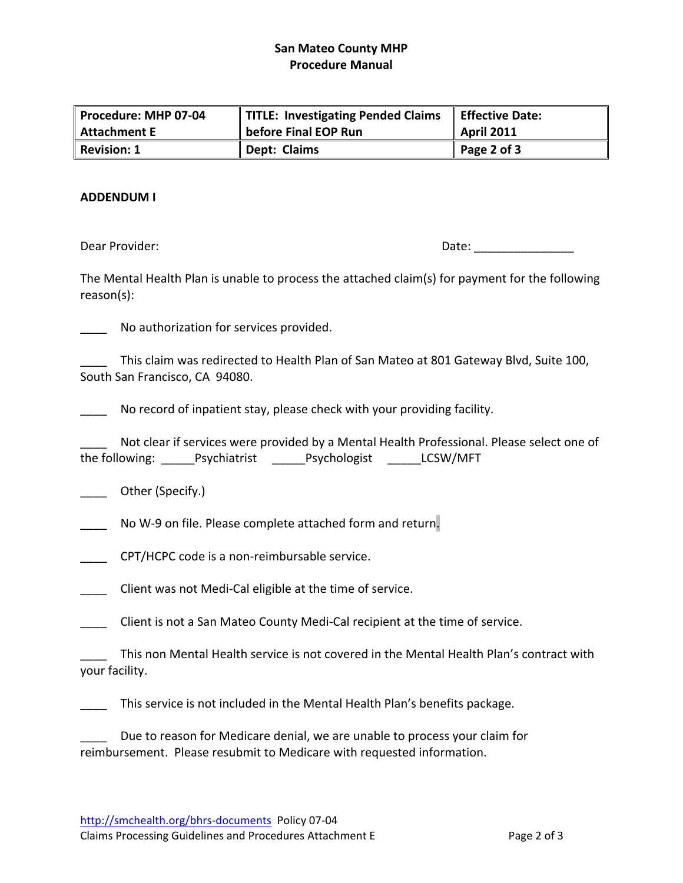## **San Mateo County MHP Procedure Manual**

| Procedure: MHP 07-04 | TITLE: Investigating Pended Claims | Effective Date:   |
|----------------------|------------------------------------|-------------------|
| Attachment E         | before Final EOP Run               | <b>April 2011</b> |
| Revision: 1          | Dept: Claims                       | Page 2 of 3       |

#### **ADDENDUM I**

Dear Provider: The contract of the contract of the contract of the contract of the contract of the contract of the contract of the contract of the contract of the contract of the contract of the contract of the contract of

The Mental Health Plan is unable to process the attached claim(s) for payment for the following reason(s):

No authorization for services provided.

This claim was redirected to Health Plan of San Mateo at 801 Gateway Blvd, Suite 100, South San Francisco, CA 94080.

\_\_\_\_ No record of inpatient stay, please check with your providing facility.

Not clear if services were provided by a Mental Health Professional. Please select one of the following: \_\_\_\_\_Psychiatrist \_\_\_\_\_Psychologist \_\_\_\_\_LCSW/MFT

\_\_\_\_ Other (Specify.)

No W-9 on file. Please complete attached form and return.

- \_\_\_\_ CPT/HCPC code is a non‐reimbursable service.
- \_\_\_\_ Client was not Medi‐Cal eligible at the time of service.

\_\_\_\_ Client is not a San Mateo County Medi‐Cal recipient at the time of service.

This non Mental Health service is not covered in the Mental Health Plan's contract with your facility.

\_\_\_\_ This service is not included in the Mental Health Plan's benefits package.

Due to reason for Medicare denial, we are unable to process your claim for reimbursement. Please resubmit to Medicare with requested information.